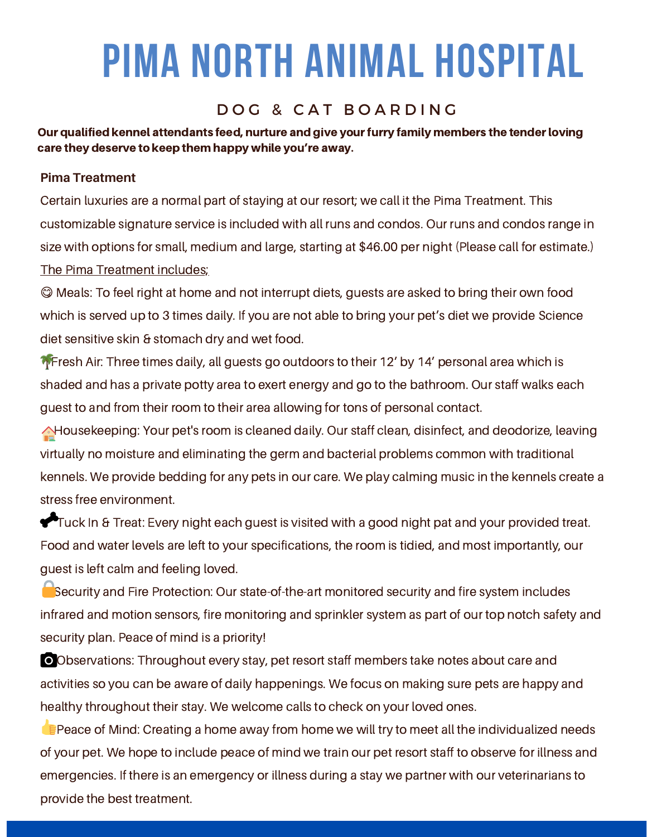## DOG & CAT BOARDING

Our qualified kennel attendants feed, nurture and give your furry family members the tender loving care they deserve to keep them happy while you're away.

### **Pima Treatment**

Certain luxuries are a normal part of staying at our resort; we call it the Pima Treatment. This customizable signature service is included with all runs and condos. Our runs and condos range in size with options for small, medium and large, starting at \$46.00 per night (Please call for estimate.) The Pima Treatment includes;

 Meals: To feel right at home and not interrupt diets, guests are asked to bring their own food which is served up to 3 times daily. If you are not able to bring your pet's diet we provide Science diet sensitive skin & stomach dry and wet food.

**T** Fresh Air: Three times daily, all guests go outdoors to their 12' by 14' personal area which is shaded and has a private potty area to exert energy and go to the bathroom. Our staff walks each guest to and from their room to their area allowing for tons of personal contact.

A Housekeeping: Your pet's room is cleaned daily. Our staff clean, disinfect, and deodorize, leaving virtually no moisture and eliminating the germ and bacterial problems common with traditional kennels. We provide bedding for any pets in our care. We play calming music in the kennels create a stress free environment.

Tuck In & Treat: Every night each guest is visited with a good night pat and your provided treat. Food and water levels are left to your specifications, the room is tidied, and most importantly, our guest is left calm and feeling loved.

Security and Fire Protection: Our state-of-the-art monitored security and fire system includes infrared and motion sensors, fire monitoring and sprinkler system as part of our top notch safety and security plan. Peace of mind is a priority!

Observations: Throughout every stay, pet resort staff members take notes about care and activities so you can be aware of daily happenings. We focus on making sure pets are happy and healthy throughout their stay. We welcome calls to check on your loved ones.

**Peace of Mind: Creating a home away from home we will try to meet all the individualized needs** of your pet. We hope to include peace of mind we train our pet resort staff to observe for illness and emergencies. If there is an emergency or illness during a stay we partner with our veterinarians to provide the best treatment.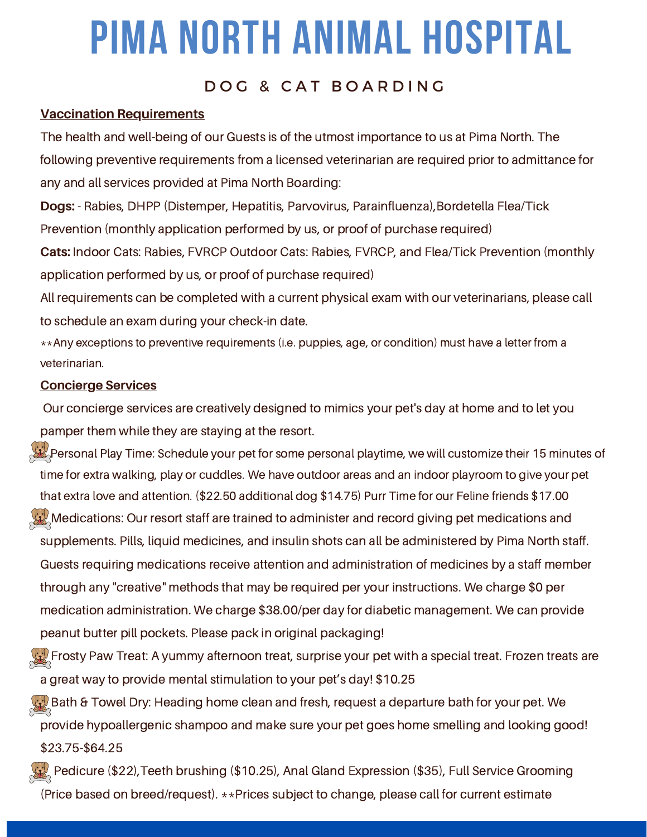## DOG & CAT BOARDING

### **Vaccination Requirements**

The health and well-being of our Guests is of the utmost importance to us at Pima North. The following preventive requirements from a licensed veterinarian are required prior to admittance for any and all services provided at Pima North Boarding:

**Dogs:** - Rabies, DHPP (Distemper, Hepatitis, Parvovirus, Parainfluenza),Bordetella Flea/Tick Prevention (monthly application performed by us, or proof of purchase required)

**Cats:** Indoor Cats: Rabies, FVRCP Outdoor Cats: Rabies, FVRCP, and Flea/Tick Prevention (monthly application performed by us, or proof of purchase required)

All requirements can be completed with a current physical exam with our veterinarians, please call to schedule an exam during your check-in date.

\*\*Any exceptions to preventive requirements (i.e. puppies, age, or condition) must have a letter from a veterinarian.

### **Concierge Services**

Our concierge services are creatively designed to mimics your pet's day at home and to let you pamper them while they are staying at the resort.

- $\mathbb{R}^N$ Personal Play Time: Schedule your pet for some personal playtime, we will customize their 15 minutes of time for extra walking, play or cuddles. We have outdoor areas and an indoor playroom to give your pet that extra love and attention. (\$22.50 additional dog \$14.75) Purr Time for our Feline friends \$17.00
- $\langle \cdot \rangle$  Medications: Our resort staff are trained to administer and record giving pet medications and supplements. Pills, liquid medicines, and insulin shots can all be administered by Pima North staff. Guests requiring medications receive attention and administration of medicines by a staff member through any "creative" methods that may be required per your instructions. We charge \$0 per medication administration. We charge \$38.00/per day for diabetic management. We can provide peanut butter pill pockets. Please pack in original packaging!
- $\chi_{\omega}$  Frosty Paw Treat: A yummy afternoon treat, surprise your pet with a special treat. Frozen treats are a great way to provide mental stimulation to your pet's day! \$10.25
- $\langle \cdot, \cdot \rangle$  Bath & Towel Dry: Heading home clean and fresh, request a departure bath for your pet. We provide hypoallergenic shampoo and make sure your pet goes home smelling and looking good! \$23.75-\$64.25
- $\chi_{\rm{2}}$  Pedicure (\$22), Teeth brushing (\$10.25), Anal Gland Expression (\$35), Full Service Grooming (Price based on breed/request). \*\*Prices subject to change, please call for current estimate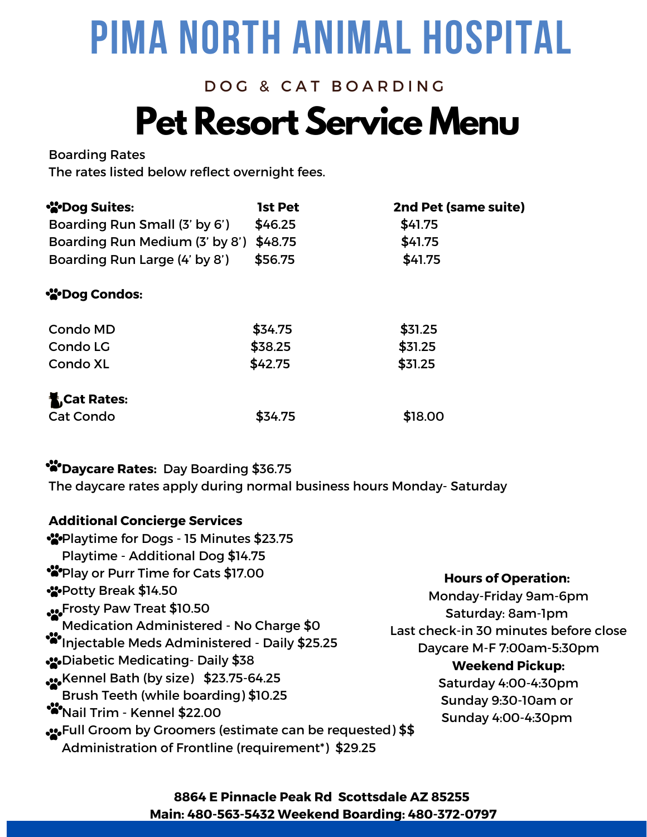## **Pet Resort Service Menu** DOG & CAT BOARDING

### Boarding Rates

The rates listed below reflect overnight fees.

| <b>W</b> Dog Suites:           | <b>1st Pet</b> | 2nd Pet (same suite) |
|--------------------------------|----------------|----------------------|
| Boarding Run Small (3' by 6')  | \$46.25        | \$41.75              |
| Boarding Run Medium (3' by 8') | \$48.75        | \$41.75              |
| Boarding Run Large (4' by 8')  | \$56.75        | \$41.75              |
| <b>Nog Condos:</b>             |                |                      |
| <b>Condo MD</b>                | \$34.75        | \$31.25              |
| Condo LG                       | \$38.25        | \$31.25              |
| <b>Condo XL</b>                | \$42.75        | \$31.25              |
| <b>K Cat Rates:</b>            |                |                      |
| <b>Cat Condo</b>               | \$34.75        | \$18.00              |

### **Daycare Rates:** Day Boarding \$36.75

The daycare rates apply during normal business hours Monday- Saturday

### **Additional Concierge Services**

| • <sup>2</sup> •Playtime for Dogs - 15 Minutes \$23.75                                                                                                                                                                                                                                                                                                                                                                           |                                                                                                                                                                                                                                               |
|----------------------------------------------------------------------------------------------------------------------------------------------------------------------------------------------------------------------------------------------------------------------------------------------------------------------------------------------------------------------------------------------------------------------------------|-----------------------------------------------------------------------------------------------------------------------------------------------------------------------------------------------------------------------------------------------|
| Playtime - Additional Dog \$14.75                                                                                                                                                                                                                                                                                                                                                                                                |                                                                                                                                                                                                                                               |
| **Play or Purr Time for Cats \$17.00<br>SPotty Break \$14.50<br><b>SASE FROSTS PAW Treat \$10.50</b><br>Medication Administered - No Charge \$0<br>***Injectable Meds Administered - Daily \$25.25<br><b>S26</b> Diabetic Medicating-Daily \$38<br>SeoKennel Bath (by size) \$23.75-64.25<br>Brush Teeth (while boarding) \$10.25<br>***Nail Trim - Kennel \$22.00<br>•• Full Groom by Groomers (estimate can be requested) \$\$ | <b>Hours of Operation:</b><br>Monday-Friday 9am-6pm<br>Saturday: 8am-1pm<br>Last check-in 30 minutes before close<br>Daycare M-F 7:00am-5:30pm<br><b>Weekend Pickup:</b><br>Saturday 4:00-4:30pm<br>Sunday 9:30-10am or<br>Sunday 4:00-4:30pm |
| Administration of Frontline (requirement*) \$29.25                                                                                                                                                                                                                                                                                                                                                                               |                                                                                                                                                                                                                                               |

### **8864 E Pinnacle Peak Rd Scottsdale AZ 85255 Main: 480-563-5432 Weekend Boarding: 480-372-0797**